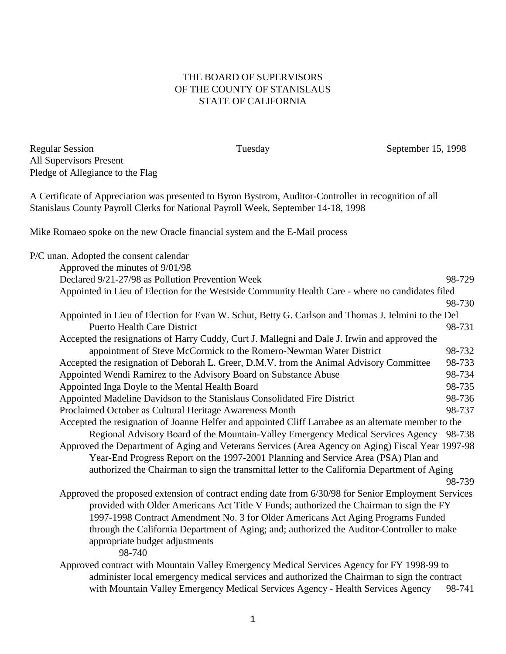## THE BOARD OF SUPERVISORS OF THE COUNTY OF STANISLAUS STATE OF CALIFORNIA

Regular Session Tuesday September 15, 1998 All Supervisors Present Pledge of Allegiance to the Flag

A Certificate of Appreciation was presented to Byron Bystrom, Auditor-Controller in recognition of all Stanislaus County Payroll Clerks for National Payroll Week, September 14-18, 1998

Mike Romaeo spoke on the new Oracle financial system and the E-Mail process

| P/C unan. Adopted the consent calendar                                                               |        |
|------------------------------------------------------------------------------------------------------|--------|
| Approved the minutes of 9/01/98                                                                      |        |
| Declared 9/21-27/98 as Pollution Prevention Week                                                     | 98-729 |
| Appointed in Lieu of Election for the Westside Community Health Care - where no candidates filed     |        |
|                                                                                                      | 98-730 |
| Appointed in Lieu of Election for Evan W. Schut, Betty G. Carlson and Thomas J. Ielmini to the Del   |        |
| <b>Puerto Health Care District</b>                                                                   | 98-731 |
| Accepted the resignations of Harry Cuddy, Curt J. Mallegni and Dale J. Irwin and approved the        |        |
| appointment of Steve McCormick to the Romero-Newman Water District                                   | 98-732 |
| Accepted the resignation of Deborah L. Greer, D.M.V. from the Animal Advisory Committee              | 98-733 |
| Appointed Wendi Ramirez to the Advisory Board on Substance Abuse                                     | 98-734 |
| Appointed Inga Doyle to the Mental Health Board                                                      | 98-735 |
| Appointed Madeline Davidson to the Stanislaus Consolidated Fire District                             | 98-736 |
| Proclaimed October as Cultural Heritage Awareness Month                                              | 98-737 |
| Accepted the resignation of Joanne Helfer and appointed Cliff Larrabee as an alternate member to the |        |
| Regional Advisory Board of the Mountain-Valley Emergency Medical Services Agency                     | 98-738 |
| Approved the Department of Aging and Veterans Services (Area Agency on Aging) Fiscal Year 1997-98    |        |
| Year-End Progress Report on the 1997-2001 Planning and Service Area (PSA) Plan and                   |        |
| authorized the Chairman to sign the transmittal letter to the California Department of Aging         |        |
|                                                                                                      | 98-739 |
| Approved the proposed extension of contract ending date from 6/30/98 for Senior Employment Services  |        |
| provided with Older Americans Act Title V Funds; authorized the Chairman to sign the FY              |        |
| 1997-1998 Contract Amendment No. 3 for Older Americans Act Aging Programs Funded                     |        |
| through the California Department of Aging; and; authorized the Auditor-Controller to make           |        |
| appropriate budget adjustments                                                                       |        |
| 98-740                                                                                               |        |
| Approved contract with Mountain Valley Emergency Medical Services Agency for FY 1998-99 to           |        |
| administer local emergency medical services and authorized the Chairman to sign the contract         |        |
| with Mountain Valley Emergency Medical Services Agency - Health Services Agency                      | 98-741 |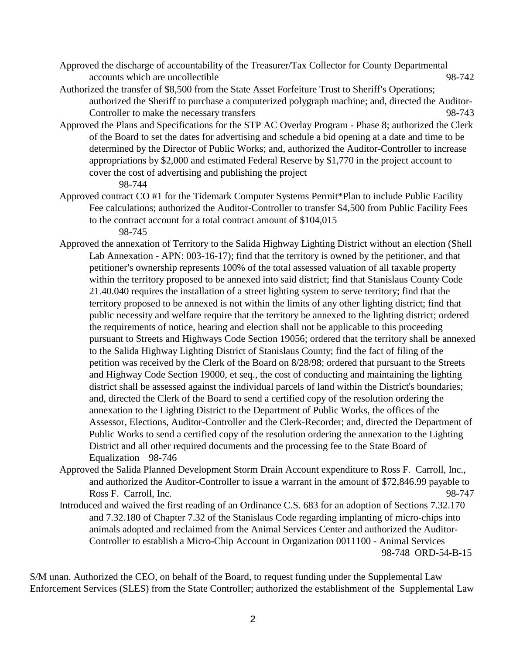- Approved the discharge of accountability of the Treasurer/Tax Collector for County Departmental accounts which are uncollectible 98-742
- Authorized the transfer of \$8,500 from the State Asset Forfeiture Trust to Sheriff's Operations; authorized the Sheriff to purchase a computerized polygraph machine; and, directed the Auditor-Controller to make the necessary transfers 98-743
- Approved the Plans and Specifications for the STP AC Overlay Program Phase 8; authorized the Clerk of the Board to set the dates for advertising and schedule a bid opening at a date and time to be determined by the Director of Public Works; and, authorized the Auditor-Controller to increase appropriations by \$2,000 and estimated Federal Reserve by \$1,770 in the project account to cover the cost of advertising and publishing the project 98-744
- Approved contract CO #1 for the Tidemark Computer Systems Permit\*Plan to include Public Facility Fee calculations; authorized the Auditor-Controller to transfer \$4,500 from Public Facility Fees to the contract account for a total contract amount of \$104,015

98-745

- Approved the annexation of Territory to the Salida Highway Lighting District without an election (Shell Lab Annexation - APN: 003-16-17); find that the territory is owned by the petitioner, and that petitioner's ownership represents 100% of the total assessed valuation of all taxable property within the territory proposed to be annexed into said district; find that Stanislaus County Code 21.40.040 requires the installation of a street lighting system to serve territory; find that the territory proposed to be annexed is not within the limits of any other lighting district; find that public necessity and welfare require that the territory be annexed to the lighting district; ordered the requirements of notice, hearing and election shall not be applicable to this proceeding pursuant to Streets and Highways Code Section 19056; ordered that the territory shall be annexed to the Salida Highway Lighting District of Stanislaus County; find the fact of filing of the petition was received by the Clerk of the Board on 8/28/98; ordered that pursuant to the Streets and Highway Code Section 19000, et seq., the cost of conducting and maintaining the lighting district shall be assessed against the individual parcels of land within the District's boundaries; and, directed the Clerk of the Board to send a certified copy of the resolution ordering the annexation to the Lighting District to the Department of Public Works, the offices of the Assessor, Elections, Auditor-Controller and the Clerk-Recorder; and, directed the Department of Public Works to send a certified copy of the resolution ordering the annexation to the Lighting District and all other required documents and the processing fee to the State Board of Equalization 98-746
- Approved the Salida Planned Development Storm Drain Account expenditure to Ross F. Carroll, Inc., and authorized the Auditor-Controller to issue a warrant in the amount of \$72,846.99 payable to Ross F. Carroll, Inc. 98-747
- Introduced and waived the first reading of an Ordinance C.S. 683 for an adoption of Sections 7.32.170 and 7.32.180 of Chapter 7.32 of the Stanislaus Code regarding implanting of micro-chips into animals adopted and reclaimed from the Animal Services Center and authorized the Auditor-Controller to establish a Micro-Chip Account in Organization 0011100 - Animal Services 98-748 ORD-54-B-15

S/M unan. Authorized the CEO, on behalf of the Board, to request funding under the Supplemental Law Enforcement Services (SLES) from the State Controller; authorized the establishment of the Supplemental Law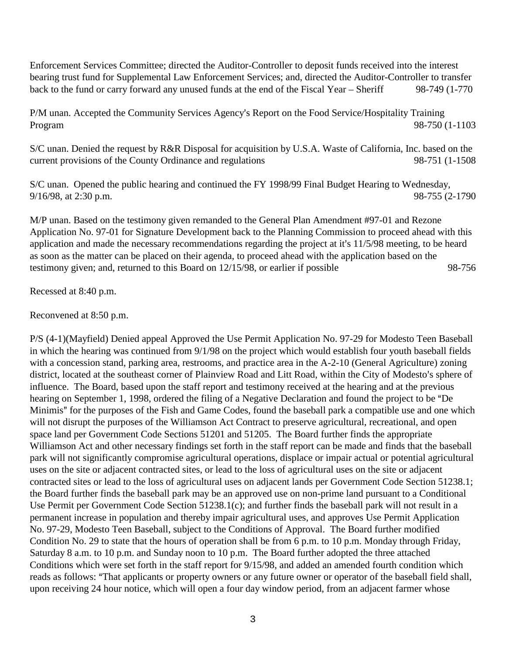Enforcement Services Committee; directed the Auditor-Controller to deposit funds received into the interest bearing trust fund for Supplemental Law Enforcement Services; and, directed the Auditor-Controller to transfer back to the fund or carry forward any unused funds at the end of the Fiscal Year – Sheriff 98-749 (1-770

P/M unan. Accepted the Community Services Agency's Report on the Food Service/Hospitality Training Program 98-750 (1-1103

S/C unan. Denied the request by R&R Disposal for acquisition by U.S.A. Waste of California, Inc. based on the current provisions of the County Ordinance and regulations 98-751 (1-1508

S/C unan. Opened the public hearing and continued the FY 1998/99 Final Budget Hearing to Wednesday, 9/16/98, at 2:30 p.m. 98-755 (2-1790)

M/P unan. Based on the testimony given remanded to the General Plan Amendment #97-01 and Rezone Application No. 97-01 for Signature Development back to the Planning Commission to proceed ahead with this application and made the necessary recommendations regarding the project at it's 11/5/98 meeting, to be heard as soon as the matter can be placed on their agenda, to proceed ahead with the application based on the testimony given; and, returned to this Board on 12/15/98, or earlier if possible 98-756

Recessed at 8:40 p.m.

Reconvened at 8:50 p.m.

P/S (4-1)(Mayfield) Denied appeal Approved the Use Permit Application No. 97-29 for Modesto Teen Baseball in which the hearing was continued from 9/1/98 on the project which would establish four youth baseball fields with a concession stand, parking area, restrooms, and practice area in the A-2-10 (General Agriculture) zoning district, located at the southeast corner of Plainview Road and Litt Road, within the City of Modesto's sphere of influence. The Board, based upon the staff report and testimony received at the hearing and at the previous hearing on September 1, 1998, ordered the filing of a Negative Declaration and found the project to be "De Minimis" for the purposes of the Fish and Game Codes, found the baseball park a compatible use and one which will not disrupt the purposes of the Williamson Act Contract to preserve agricultural, recreational, and open space land per Government Code Sections 51201 and 51205. The Board further finds the appropriate Williamson Act and other necessary findings set forth in the staff report can be made and finds that the baseball park will not significantly compromise agricultural operations, displace or impair actual or potential agricultural uses on the site or adjacent contracted sites, or lead to the loss of agricultural uses on the site or adjacent contracted sites or lead to the loss of agricultural uses on adjacent lands per Government Code Section 51238.1; the Board further finds the baseball park may be an approved use on non-prime land pursuant to a Conditional Use Permit per Government Code Section 51238.1(c); and further finds the baseball park will not result in a permanent increase in population and thereby impair agricultural uses, and approves Use Permit Application No. 97-29, Modesto Teen Baseball, subject to the Conditions of Approval. The Board further modified Condition No. 29 to state that the hours of operation shall be from 6 p.m. to 10 p.m. Monday through Friday, Saturday 8 a.m. to 10 p.m. and Sunday noon to 10 p.m. The Board further adopted the three attached Conditions which were set forth in the staff report for 9/15/98, and added an amended fourth condition which reads as follows: That applicants or property owners or any future owner or operator of the baseball field shall, upon receiving 24 hour notice, which will open a four day window period, from an adjacent farmer whose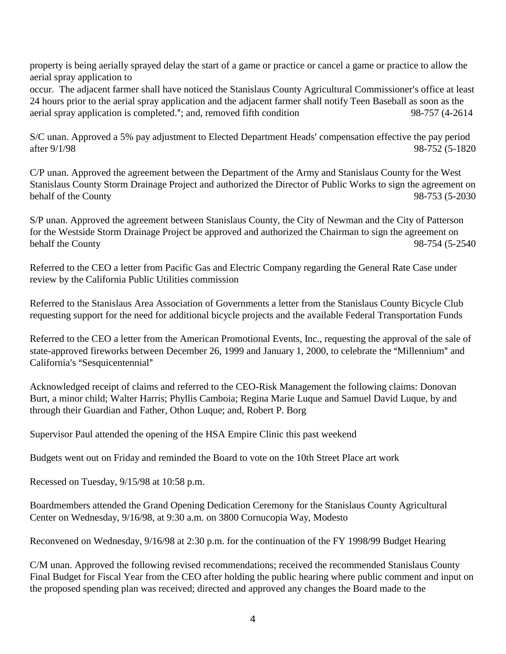property is being aerially sprayed delay the start of a game or practice or cancel a game or practice to allow the aerial spray application to

occur. The adjacent farmer shall have noticed the Stanislaus County Agricultural Commissioner's office at least 24 hours prior to the aerial spray application and the adjacent farmer shall notify Teen Baseball as soon as the aerial spray application is completed."; and, removed fifth condition 98-757 (4-2614

S/C unan. Approved a 5% pay adjustment to Elected Department Heads' compensation effective the pay period after 9/1/98 98-752 (5-1820

C/P unan. Approved the agreement between the Department of the Army and Stanislaus County for the West Stanislaus County Storm Drainage Project and authorized the Director of Public Works to sign the agreement on behalf of the County 98-753 (5-2030)

S/P unan. Approved the agreement between Stanislaus County, the City of Newman and the City of Patterson for the Westside Storm Drainage Project be approved and authorized the Chairman to sign the agreement on behalf the County 98-754 (5-2540)

Referred to the CEO a letter from Pacific Gas and Electric Company regarding the General Rate Case under review by the California Public Utilities commission

Referred to the Stanislaus Area Association of Governments a letter from the Stanislaus County Bicycle Club requesting support for the need for additional bicycle projects and the available Federal Transportation Funds

Referred to the CEO a letter from the American Promotional Events, Inc., requesting the approval of the sale of state-approved fireworks between December 26, 1999 and January 1, 2000, to celebrate the "Millennium" and California's "Sesquicentennial"

Acknowledged receipt of claims and referred to the CEO-Risk Management the following claims: Donovan Burt, a minor child; Walter Harris; Phyllis Camboia; Regina Marie Luque and Samuel David Luque, by and through their Guardian and Father, Othon Luque; and, Robert P. Borg

Supervisor Paul attended the opening of the HSA Empire Clinic this past weekend

Budgets went out on Friday and reminded the Board to vote on the 10th Street Place art work

Recessed on Tuesday, 9/15/98 at 10:58 p.m.

Boardmembers attended the Grand Opening Dedication Ceremony for the Stanislaus County Agricultural Center on Wednesday, 9/16/98, at 9:30 a.m. on 3800 Cornucopia Way, Modesto

Reconvened on Wednesday, 9/16/98 at 2:30 p.m. for the continuation of the FY 1998/99 Budget Hearing

C/M unan. Approved the following revised recommendations; received the recommended Stanislaus County Final Budget for Fiscal Year from the CEO after holding the public hearing where public comment and input on the proposed spending plan was received; directed and approved any changes the Board made to the